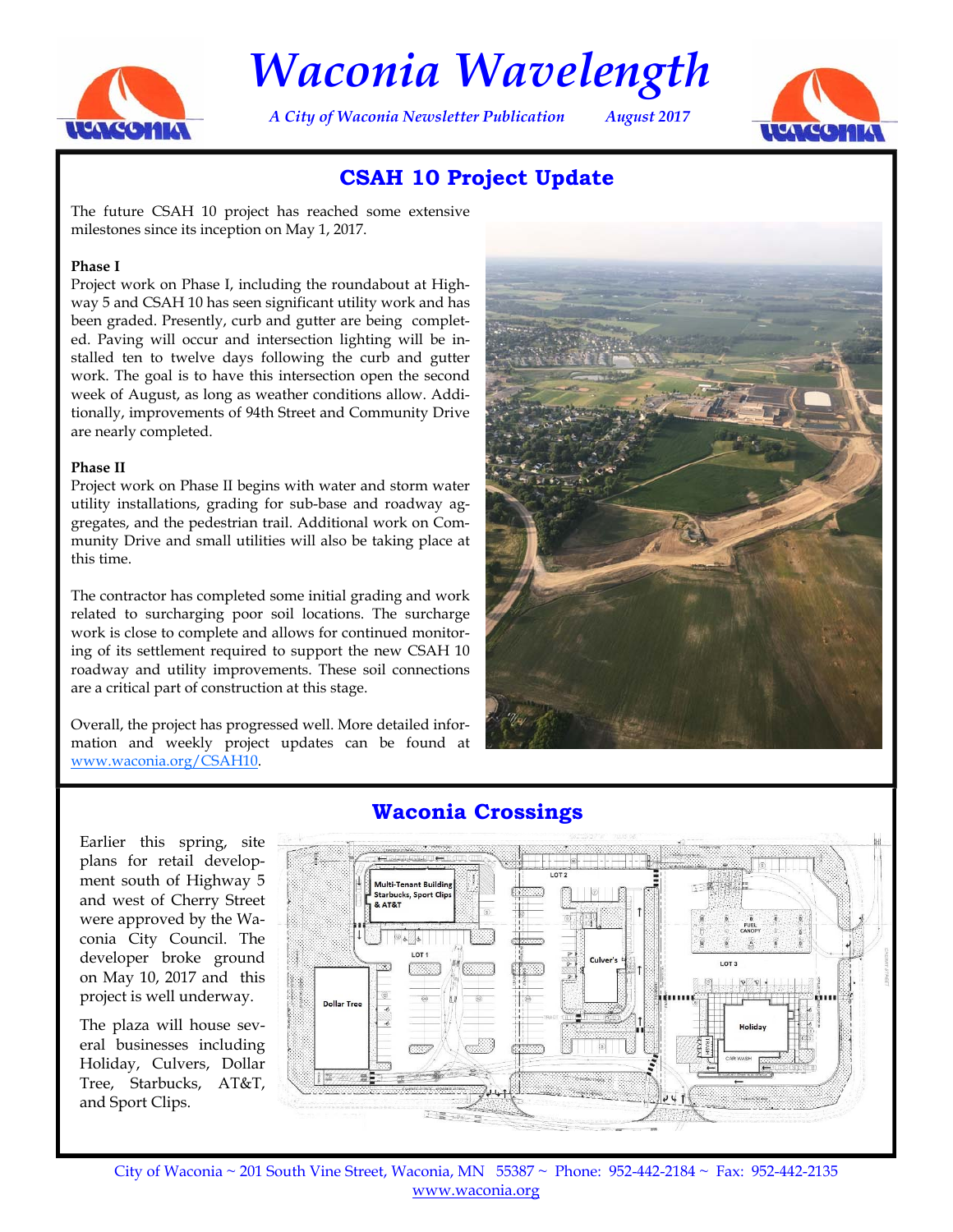

# *Waconia Wavelength*

*A City of Waconia Newsletter Publication August 2017* 



# **CSAH 10 Project Update**

The future CSAH 10 project has reached some extensive milestones since its inception on May 1, 2017.

#### **Phase I**

Project work on Phase I, including the roundabout at Highway 5 and CSAH 10 has seen significant utility work and has been graded. Presently, curb and gutter are being completed. Paving will occur and intersection lighting will be installed ten to twelve days following the curb and gutter work. The goal is to have this intersection open the second week of August, as long as weather conditions allow. Additionally, improvements of 94th Street and Community Drive are nearly completed.

#### **Phase II**

Project work on Phase II begins with water and storm water utility installations, grading for sub-base and roadway aggregates, and the pedestrian trail. Additional work on Community Drive and small utilities will also be taking place at this time.

The contractor has completed some initial grading and work related to surcharging poor soil locations. The surcharge work is close to complete and allows for continued monitoring of its settlement required to support the new CSAH 10 roadway and utility improvements. These soil connections are a critical part of construction at this stage.

Overall, the project has progressed well. More detailed information and weekly project updates can be found at www.waconia.org/CSAH10.



Earlier this spring, site plans for retail development south of Highway 5 and west of Cherry Street were approved by the Waconia City Council. The developer broke ground on May 10, 2017 and this project is well underway.

The plaza will house several businesses including Holiday, Culvers, Dollar Tree, Starbucks, AT&T, and Sport Clips.

## **Waconia Crossings**



City of Waconia ~ 201 South Vine Street, Waconia, MN 55387 ~ Phone: 952-442-2184 ~ Fax: 952-442-2135 www.waconia.org